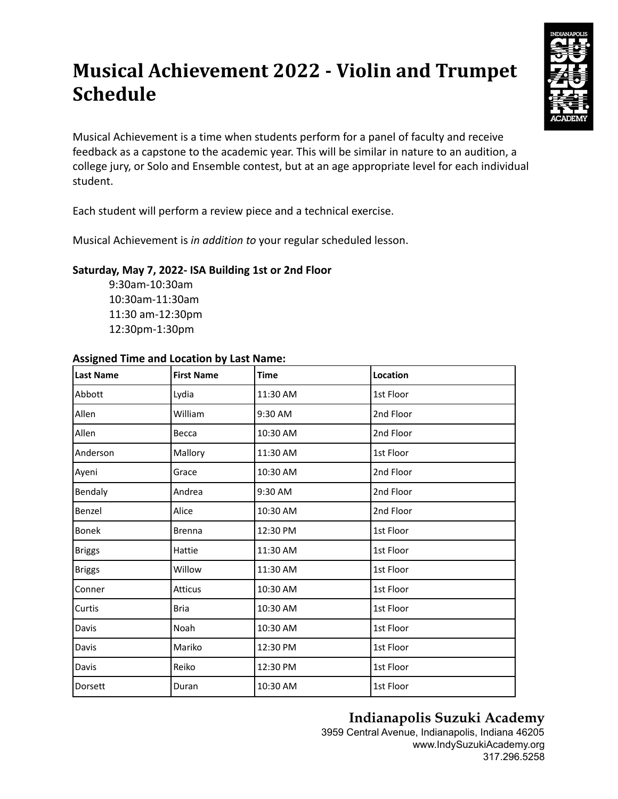# **Musical Achievement 2022 - Violin and Trumpet Schedule**



Musical Achievement is a time when students perform for a panel of faculty and receive feedback as a capstone to the academic year. This will be similar in nature to an audition, a college jury, or Solo and Ensemble contest, but at an age appropriate level for each individual student.

Each student will perform a review piece and a technical exercise.

Musical Achievement is *in addition to* your regular scheduled lesson.

### **Saturday, May 7, 2022- ISA Building 1st or 2nd Floor**

9:30am-10:30am 10:30am-11:30am 11:30 am-12:30pm 12:30pm-1:30pm

#### **Assigned Time and Location by Last Name:**

| Last Name     | <b>First Name</b> | <b>Time</b> | Location  |
|---------------|-------------------|-------------|-----------|
| Abbott        | Lydia             | 11:30 AM    | 1st Floor |
| Allen         | William           | 9:30 AM     | 2nd Floor |
| Allen         | Becca             | 10:30 AM    | 2nd Floor |
| Anderson      | Mallory           | 11:30 AM    | 1st Floor |
| Ayeni         | Grace             | 10:30 AM    | 2nd Floor |
| Bendaly       | Andrea            | 9:30 AM     | 2nd Floor |
| Benzel        | Alice             | 10:30 AM    | 2nd Floor |
| <b>Bonek</b>  | <b>Brenna</b>     | 12:30 PM    | 1st Floor |
| <b>Briggs</b> | Hattie            | 11:30 AM    | 1st Floor |
| <b>Briggs</b> | Willow            | 11:30 AM    | 1st Floor |
| Conner        | <b>Atticus</b>    | 10:30 AM    | 1st Floor |
| <b>Curtis</b> | Bria              | 10:30 AM    | 1st Floor |
| Davis         | Noah              | 10:30 AM    | 1st Floor |
| Davis         | Mariko            | 12:30 PM    | 1st Floor |
| Davis         | Reiko             | 12:30 PM    | 1st Floor |
| Dorsett       | Duran             | 10:30 AM    | 1st Floor |

# **Indianapolis Suzuki Academy**

3959 Central Avenue, Indianapolis, Indiana 46205 www.IndySuzukiAcademy.org 317.296.5258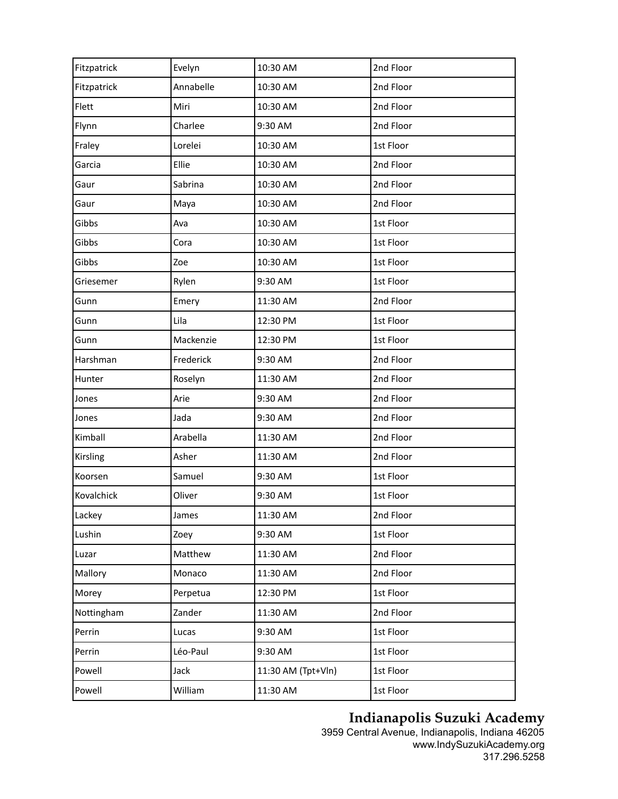| Fitzpatrick | Evelyn    | 10:30 AM           | 2nd Floor |
|-------------|-----------|--------------------|-----------|
| Fitzpatrick | Annabelle | 10:30 AM           | 2nd Floor |
| Flett       | Miri      | 10:30 AM           | 2nd Floor |
| Flynn       | Charlee   | 9:30 AM            | 2nd Floor |
| Fraley      | Lorelei   | 10:30 AM           | 1st Floor |
| Garcia      | Ellie     | 10:30 AM           | 2nd Floor |
| Gaur        | Sabrina   | 10:30 AM           | 2nd Floor |
| Gaur        | Maya      | 10:30 AM           | 2nd Floor |
| Gibbs       | Ava       | 10:30 AM           | 1st Floor |
| Gibbs       | Cora      | 10:30 AM           | 1st Floor |
| Gibbs       | Zoe       | 10:30 AM           | 1st Floor |
| Griesemer   | Rylen     | 9:30 AM            | 1st Floor |
| Gunn        | Emery     | 11:30 AM           | 2nd Floor |
| Gunn        | Lila      | 12:30 PM           | 1st Floor |
| Gunn        | Mackenzie | 12:30 PM           | 1st Floor |
| Harshman    | Frederick | 9:30 AM            | 2nd Floor |
| Hunter      | Roselyn   | 11:30 AM           | 2nd Floor |
| Jones       | Arie      | 9:30 AM            | 2nd Floor |
| Jones       | Jada      | 9:30 AM            | 2nd Floor |
| Kimball     | Arabella  | 11:30 AM           | 2nd Floor |
| Kirsling    | Asher     | 11:30 AM           | 2nd Floor |
| Koorsen     | Samuel    | 9:30 AM            | 1st Floor |
| Kovalchick  | Oliver    | 9:30 AM            | 1st Floor |
| Lackey      | James     | 11:30 AM           | 2nd Floor |
| Lushin      | Zoey      | 9:30 AM            | 1st Floor |
| Luzar       | Matthew   | 11:30 AM           | 2nd Floor |
| Mallory     | Monaco    | 11:30 AM           | 2nd Floor |
| Morey       | Perpetua  | 12:30 PM           | 1st Floor |
| Nottingham  | Zander    | 11:30 AM           | 2nd Floor |
| Perrin      | Lucas     | 9:30 AM            | 1st Floor |
| Perrin      | Léo-Paul  | 9:30 AM            | 1st Floor |
| Powell      | Jack      | 11:30 AM (Tpt+Vln) | 1st Floor |
| Powell      | William   | 11:30 AM           | 1st Floor |
|             |           |                    |           |

## **Indianapolis Suzuki Academy**

3959 Central Avenue, Indianapolis, Indiana 46205 www.IndySuzukiAcademy.org 317.296.5258